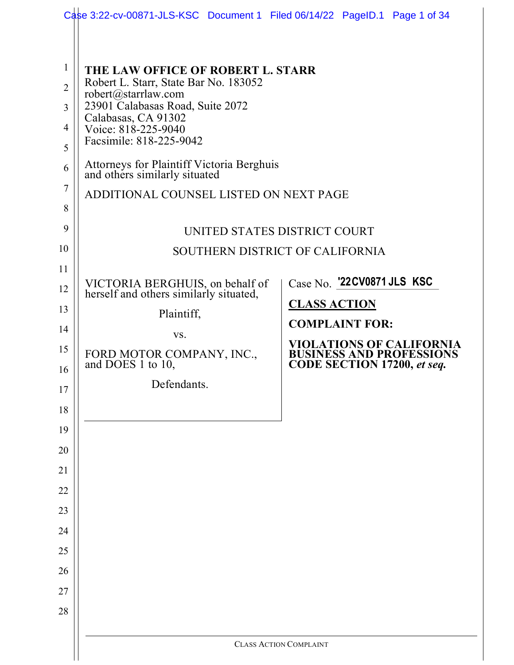|                | Case 3:22-cv-00871-JLS-KSC Document 1 Filed 06/14/22 PageID.1 Page 1 of 34        |                                                                                                          |  |  |
|----------------|-----------------------------------------------------------------------------------|----------------------------------------------------------------------------------------------------------|--|--|
|                |                                                                                   |                                                                                                          |  |  |
|                |                                                                                   |                                                                                                          |  |  |
| $\mathbf{1}$   | THE LAW OFFICE OF ROBERT L. STARR<br>Robert L. Starr, State Bar No. 183052        |                                                                                                          |  |  |
| $\overline{2}$ | robert@starrlaw.com                                                               |                                                                                                          |  |  |
| 3              | 23901 Calabasas Road, Suite 2072<br>Calabasas, CA 91302                           |                                                                                                          |  |  |
| 4              | Voice: 818-225-9040<br>Facsimile: 818-225-9042                                    |                                                                                                          |  |  |
| 5              |                                                                                   |                                                                                                          |  |  |
| 6              | <b>Attorneys for Plaintiff Victoria Berghuis</b><br>and others similarly situated |                                                                                                          |  |  |
| $\tau$         | ADDITIONAL COUNSEL LISTED ON NEXT PAGE                                            |                                                                                                          |  |  |
| 8              |                                                                                   |                                                                                                          |  |  |
| 9              |                                                                                   | UNITED STATES DISTRICT COURT                                                                             |  |  |
| 10             |                                                                                   | SOUTHERN DISTRICT OF CALIFORNIA                                                                          |  |  |
| 11             |                                                                                   | Case No. '22 CV0871 JLS KSC                                                                              |  |  |
| 12             | VICTORIA BERGHUIS, on behalf of<br>herself and others similarly situated,         |                                                                                                          |  |  |
| 13             | Plaintiff,                                                                        | <b>CLASS ACTION</b>                                                                                      |  |  |
| 14             | VS.                                                                               | <b>COMPLAINT FOR:</b>                                                                                    |  |  |
| 15             | FORD MOTOR COMPANY, INC.,<br>and DOES 1 to 10,                                    | <b>VIOLATIONS OF CALIFORNIA</b><br><b>BUSINESS AND PROFESSIONS</b><br><b>CODE SECTION 17200, et seq.</b> |  |  |
| 16             |                                                                                   |                                                                                                          |  |  |
| 17             | Defendants.                                                                       |                                                                                                          |  |  |
| 18             |                                                                                   |                                                                                                          |  |  |
| 19             |                                                                                   |                                                                                                          |  |  |
| 20             |                                                                                   |                                                                                                          |  |  |
| 21             |                                                                                   |                                                                                                          |  |  |
| 22             |                                                                                   |                                                                                                          |  |  |
| 23             |                                                                                   |                                                                                                          |  |  |
| 24             |                                                                                   |                                                                                                          |  |  |
| 25             |                                                                                   |                                                                                                          |  |  |
| 26             |                                                                                   |                                                                                                          |  |  |
| 27             |                                                                                   |                                                                                                          |  |  |
| 28             |                                                                                   |                                                                                                          |  |  |
|                |                                                                                   | <b>CLASS ACTION COMPLAINT</b>                                                                            |  |  |
|                |                                                                                   |                                                                                                          |  |  |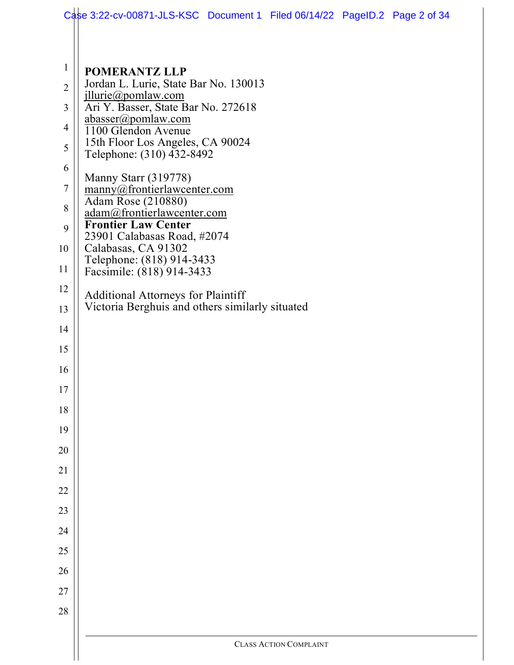|                | Case 3:22-cv-00871-JLS-KSC Document 1 Filed 06/14/22 PageID.2 Page 2 of 34 |                               |  |
|----------------|----------------------------------------------------------------------------|-------------------------------|--|
|                |                                                                            |                               |  |
|                |                                                                            |                               |  |
| $\mathbf{1}$   | <b>POMERANTZ LLP</b><br>Jordan L. Lurie, State Bar No. 130013              |                               |  |
| $\overline{2}$ | jllurie@pomlaw.com                                                         |                               |  |
| 3              | Ari Y. Basser, State Bar No. 272618<br>abasser@pomlaw.com                  |                               |  |
| 4              | 1100 Glendon Avenue                                                        |                               |  |
| 5              | 15th Floor Los Angeles, CA 90024<br>Telephone: (310) 432-8492              |                               |  |
| 6              | Manny Starr (319778)                                                       |                               |  |
| $\tau$         | manny@frontierlawcenter.com                                                |                               |  |
| 8              | Adam Rose (210880)<br>adam@frontierlawcenter.com                           |                               |  |
| 9              | <b>Frontier Law Center</b><br>23901 Calabasas Road, #2074                  |                               |  |
| 10             | Calabasas, CA 91302                                                        |                               |  |
| 11             | Telephone: (818) 914-3433<br>Facsimile: (818) 914-3433                     |                               |  |
| 12             | <b>Additional Attorneys for Plaintiff</b>                                  |                               |  |
| 13             | Victoria Berghuis and others similarly situated                            |                               |  |
| 14             |                                                                            |                               |  |
| 15             |                                                                            |                               |  |
| 16             |                                                                            |                               |  |
| 17             |                                                                            |                               |  |
| 18             |                                                                            |                               |  |
| 19             |                                                                            |                               |  |
| 20             |                                                                            |                               |  |
| 21             |                                                                            |                               |  |
| 22             |                                                                            |                               |  |
| 23             |                                                                            |                               |  |
| 24             |                                                                            |                               |  |
| 25             |                                                                            |                               |  |
| 26             |                                                                            |                               |  |
| 27             |                                                                            |                               |  |
| 28             |                                                                            |                               |  |
|                |                                                                            |                               |  |
|                |                                                                            | <b>CLASS ACTION COMPLAINT</b> |  |
|                |                                                                            |                               |  |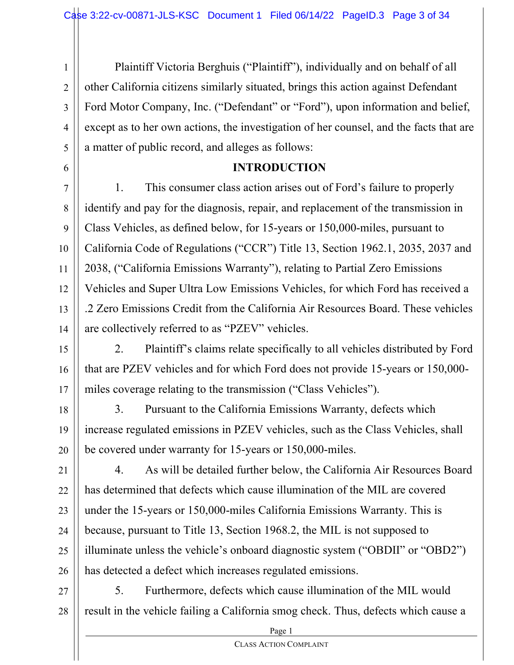1 2 3 4 5 Plaintiff Victoria Berghuis ("Plaintiff"), individually and on behalf of all other California citizens similarly situated, brings this action against Defendant Ford Motor Company, Inc. ("Defendant" or "Ford"), upon information and belief, except as to her own actions, the investigation of her counsel, and the facts that are a matter of public record, and alleges as follows:

#### **INTRODUCTION**

6

7 8 9 10 11 12 13 14 1. This consumer class action arises out of Ford's failure to properly identify and pay for the diagnosis, repair, and replacement of the transmission in Class Vehicles, as defined below, for 15-years or 150,000-miles, pursuant to California Code of Regulations ("CCR") Title 13, Section 1962.1, 2035, 2037 and 2038, ("California Emissions Warranty"), relating to Partial Zero Emissions Vehicles and Super Ultra Low Emissions Vehicles, for which Ford has received a .2 Zero Emissions Credit from the California Air Resources Board. These vehicles are collectively referred to as "PZEV" vehicles.

15 16 17 2. Plaintiff's claims relate specifically to all vehicles distributed by Ford that are PZEV vehicles and for which Ford does not provide 15-years or 150,000 miles coverage relating to the transmission ("Class Vehicles").

18 19 20 3. Pursuant to the California Emissions Warranty, defects which increase regulated emissions in PZEV vehicles, such as the Class Vehicles, shall be covered under warranty for 15-years or 150,000-miles.

21 22 23 24 25 26 4. As will be detailed further below, the California Air Resources Board has determined that defects which cause illumination of the MIL are covered under the 15-years or 150,000-miles California Emissions Warranty. This is because, pursuant to Title 13, Section 1968.2, the MIL is not supposed to illuminate unless the vehicle's onboard diagnostic system ("OBDII" or "OBD2") has detected a defect which increases regulated emissions.

27 28 5. Furthermore, defects which cause illumination of the MIL would result in the vehicle failing a California smog check. Thus, defects which cause a

Page 1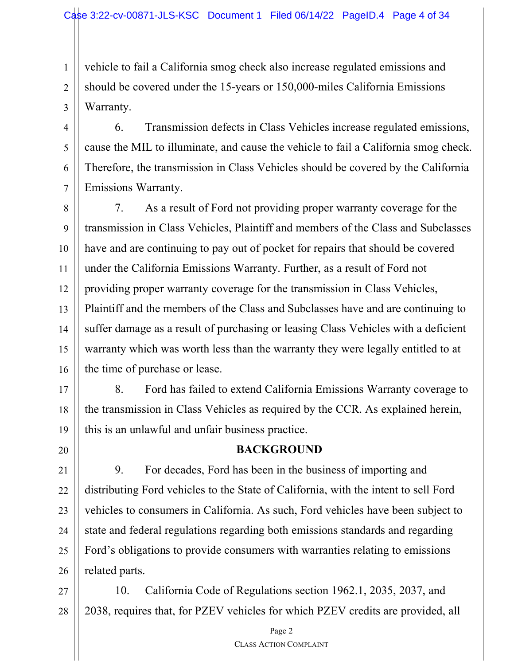2 vehicle to fail a California smog check also increase regulated emissions and should be covered under the 15-years or 150,000-miles California Emissions Warranty.

4 5 6 7 6. Transmission defects in Class Vehicles increase regulated emissions, cause the MIL to illuminate, and cause the vehicle to fail a California smog check. Therefore, the transmission in Class Vehicles should be covered by the California Emissions Warranty.

8 9 10 11 12 13 14 15 16 7. As a result of Ford not providing proper warranty coverage for the transmission in Class Vehicles, Plaintiff and members of the Class and Subclasses have and are continuing to pay out of pocket for repairs that should be covered under the California Emissions Warranty. Further, as a result of Ford not providing proper warranty coverage for the transmission in Class Vehicles, Plaintiff and the members of the Class and Subclasses have and are continuing to suffer damage as a result of purchasing or leasing Class Vehicles with a deficient warranty which was worth less than the warranty they were legally entitled to at the time of purchase or lease.

17

20

1

3

18 19 8. Ford has failed to extend California Emissions Warranty coverage to the transmission in Class Vehicles as required by the CCR. As explained herein, this is an unlawful and unfair business practice.

## **BACKGROUND**

21 22 23 24 25 26 9. For decades, Ford has been in the business of importing and distributing Ford vehicles to the State of California, with the intent to sell Ford vehicles to consumers in California. As such, Ford vehicles have been subject to state and federal regulations regarding both emissions standards and regarding Ford's obligations to provide consumers with warranties relating to emissions related parts.

27 28 10. California Code of Regulations section 1962.1, 2035, 2037, and 2038, requires that, for PZEV vehicles for which PZEV credits are provided, all

> Page 2 CLASS ACTION COMPLAINT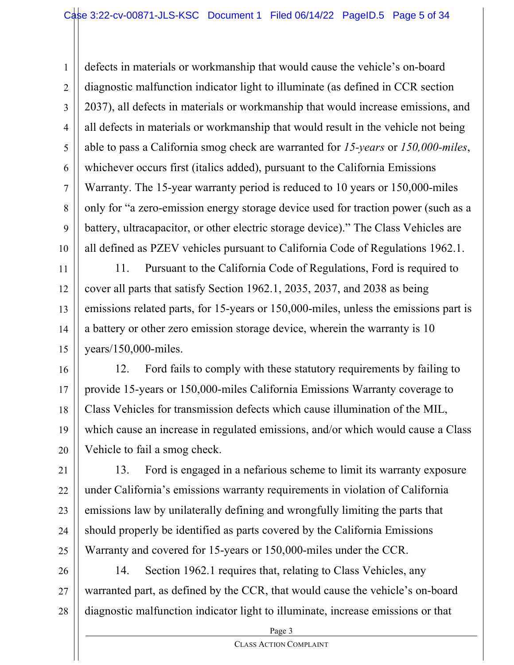1 2 3 4 5 6 7 8 9 10 defects in materials or workmanship that would cause the vehicle's on-board diagnostic malfunction indicator light to illuminate (as defined in CCR section 2037), all defects in materials or workmanship that would increase emissions, and all defects in materials or workmanship that would result in the vehicle not being able to pass a California smog check are warranted for *15-years* or *150,000-miles*, whichever occurs first (italics added), pursuant to the California Emissions Warranty. The 15-year warranty period is reduced to 10 years or 150,000-miles only for "a zero-emission energy storage device used for traction power (such as a battery, ultracapacitor, or other electric storage device)." The Class Vehicles are all defined as PZEV vehicles pursuant to California Code of Regulations 1962.1.

11 12 13 14 15 11. Pursuant to the California Code of Regulations, Ford is required to cover all parts that satisfy Section 1962.1, 2035, 2037, and 2038 as being emissions related parts, for 15-years or 150,000-miles, unless the emissions part is a battery or other zero emission storage device, wherein the warranty is 10 years/150,000-miles.

16 17 18 19 20 12. Ford fails to comply with these statutory requirements by failing to provide 15-years or 150,000-miles California Emissions Warranty coverage to Class Vehicles for transmission defects which cause illumination of the MIL, which cause an increase in regulated emissions, and/or which would cause a Class Vehicle to fail a smog check.

21 22 23 24 25 13. Ford is engaged in a nefarious scheme to limit its warranty exposure under California's emissions warranty requirements in violation of California emissions law by unilaterally defining and wrongfully limiting the parts that should properly be identified as parts covered by the California Emissions Warranty and covered for 15-years or 150,000-miles under the CCR.

26 27 28 14. Section 1962.1 requires that, relating to Class Vehicles, any warranted part, as defined by the CCR, that would cause the vehicle's on-board diagnostic malfunction indicator light to illuminate, increase emissions or that

Page 3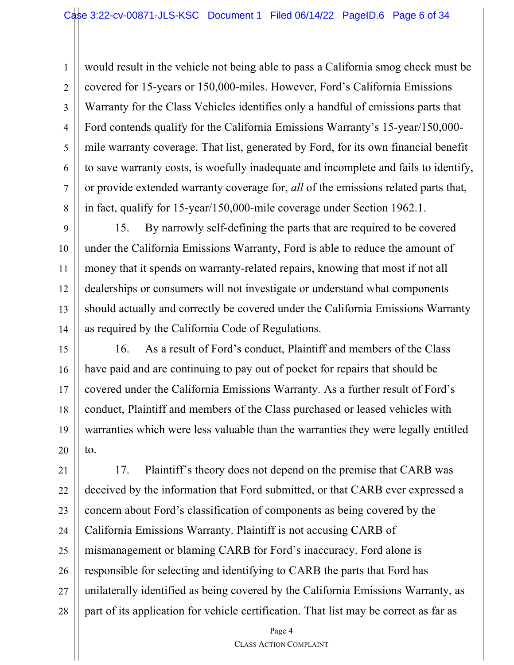1 2 3 4 5 6 7 8 would result in the vehicle not being able to pass a California smog check must be covered for 15-years or 150,000-miles. However, Ford's California Emissions Warranty for the Class Vehicles identifies only a handful of emissions parts that Ford contends qualify for the California Emissions Warranty's 15-year/150,000 mile warranty coverage. That list, generated by Ford, for its own financial benefit to save warranty costs, is woefully inadequate and incomplete and fails to identify, or provide extended warranty coverage for, *all* of the emissions related parts that, in fact, qualify for 15-year/150,000-mile coverage under Section 1962.1.

9 10 11 12 13 14 15. By narrowly self-defining the parts that are required to be covered under the California Emissions Warranty, Ford is able to reduce the amount of money that it spends on warranty-related repairs, knowing that most if not all dealerships or consumers will not investigate or understand what components should actually and correctly be covered under the California Emissions Warranty as required by the California Code of Regulations.

15 16 17 18 19 20 16. As a result of Ford's conduct, Plaintiff and members of the Class have paid and are continuing to pay out of pocket for repairs that should be covered under the California Emissions Warranty. As a further result of Ford's conduct, Plaintiff and members of the Class purchased or leased vehicles with warranties which were less valuable than the warranties they were legally entitled to.

21 22 23 24 25 26 27 28 17. Plaintiff's theory does not depend on the premise that CARB was deceived by the information that Ford submitted, or that CARB ever expressed a concern about Ford's classification of components as being covered by the California Emissions Warranty. Plaintiff is not accusing CARB of mismanagement or blaming CARB for Ford's inaccuracy. Ford alone is responsible for selecting and identifying to CARB the parts that Ford has unilaterally identified as being covered by the California Emissions Warranty, as part of its application for vehicle certification. That list may be correct as far as

Page 4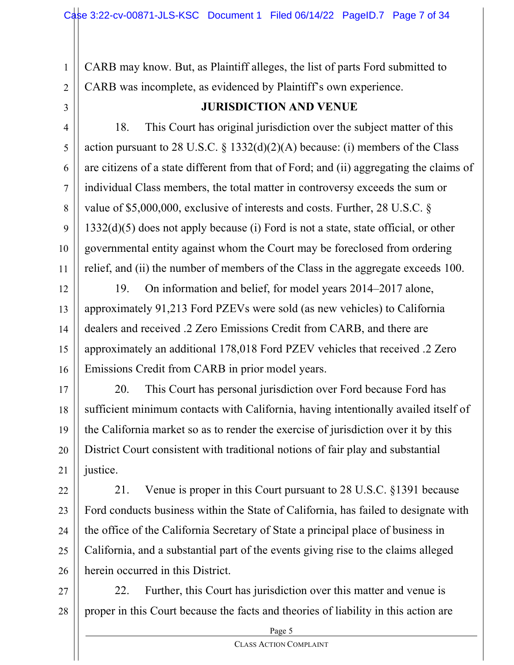CARB may know. But, as Plaintiff alleges, the list of parts Ford submitted to CARB was incomplete, as evidenced by Plaintiff's own experience.

3

5

7

10

11

1

2

## **JURISDICTION AND VENUE**

4 6 8 9 18. This Court has original jurisdiction over the subject matter of this action pursuant to 28 U.S.C.  $\S$  1332(d)(2)(A) because: (i) members of the Class are citizens of a state different from that of Ford; and (ii) aggregating the claims of individual Class members, the total matter in controversy exceeds the sum or value of \$5,000,000, exclusive of interests and costs. Further, 28 U.S.C. § 1332(d)(5) does not apply because (i) Ford is not a state, state official, or other governmental entity against whom the Court may be foreclosed from ordering relief, and (ii) the number of members of the Class in the aggregate exceeds 100.

12 13 14 15 16 19. On information and belief, for model years 2014–2017 alone, approximately 91,213 Ford PZEVs were sold (as new vehicles) to California dealers and received .2 Zero Emissions Credit from CARB, and there are approximately an additional 178,018 Ford PZEV vehicles that received .2 Zero Emissions Credit from CARB in prior model years.

17 18 19 20 21 20. This Court has personal jurisdiction over Ford because Ford has sufficient minimum contacts with California, having intentionally availed itself of the California market so as to render the exercise of jurisdiction over it by this District Court consistent with traditional notions of fair play and substantial justice.

22 23 24 25 26 21. Venue is proper in this Court pursuant to 28 U.S.C. §1391 because Ford conducts business within the State of California, has failed to designate with the office of the California Secretary of State a principal place of business in California, and a substantial part of the events giving rise to the claims alleged herein occurred in this District.

27 28 22. Further, this Court has jurisdiction over this matter and venue is proper in this Court because the facts and theories of liability in this action are

Page 5 CLASS ACTION COMPLAINT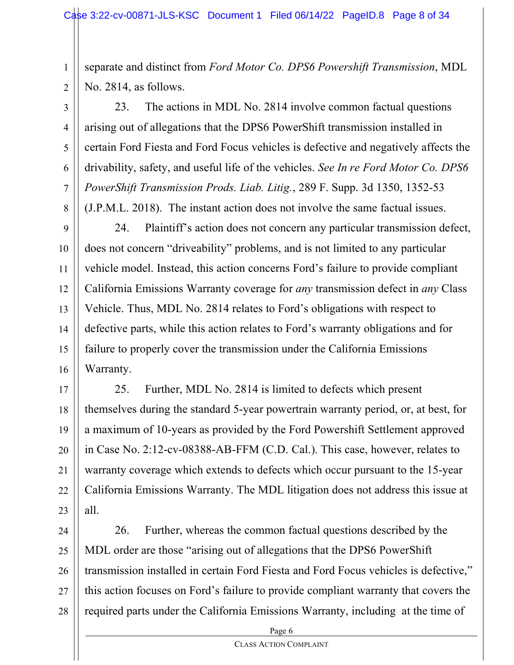1 2 separate and distinct from *Ford Motor Co. DPS6 Powershift Transmission*, MDL No. 2814, as follows.

3 4 5 6 7 8 23. The actions in MDL No. 2814 involve common factual questions arising out of allegations that the DPS6 PowerShift transmission installed in certain Ford Fiesta and Ford Focus vehicles is defective and negatively affects the drivability, safety, and useful life of the vehicles. *See In re Ford Motor Co. DPS6 PowerShift Transmission Prods. Liab. Litig.*, 289 F. Supp. 3d 1350, 1352-53 (J.P.M.L. 2018). The instant action does not involve the same factual issues.

9 10 11 12 13 14 15 16 24. Plaintiff's action does not concern any particular transmission defect, does not concern "driveability" problems, and is not limited to any particular vehicle model. Instead, this action concerns Ford's failure to provide compliant California Emissions Warranty coverage for *any* transmission defect in *any* Class Vehicle. Thus, MDL No. 2814 relates to Ford's obligations with respect to defective parts, while this action relates to Ford's warranty obligations and for failure to properly cover the transmission under the California Emissions Warranty.

17 18 19 20 21 22 23 25. Further, MDL No. 2814 is limited to defects which present themselves during the standard 5-year powertrain warranty period, or, at best, for a maximum of 10-years as provided by the Ford Powershift Settlement approved in Case No. 2:12-cv-08388-AB-FFM (C.D. Cal.). This case, however, relates to warranty coverage which extends to defects which occur pursuant to the 15-year California Emissions Warranty. The MDL litigation does not address this issue at all.

24 25 26 27 28 26. Further, whereas the common factual questions described by the MDL order are those "arising out of allegations that the DPS6 PowerShift transmission installed in certain Ford Fiesta and Ford Focus vehicles is defective," this action focuses on Ford's failure to provide compliant warranty that covers the required parts under the California Emissions Warranty, including at the time of

Page 6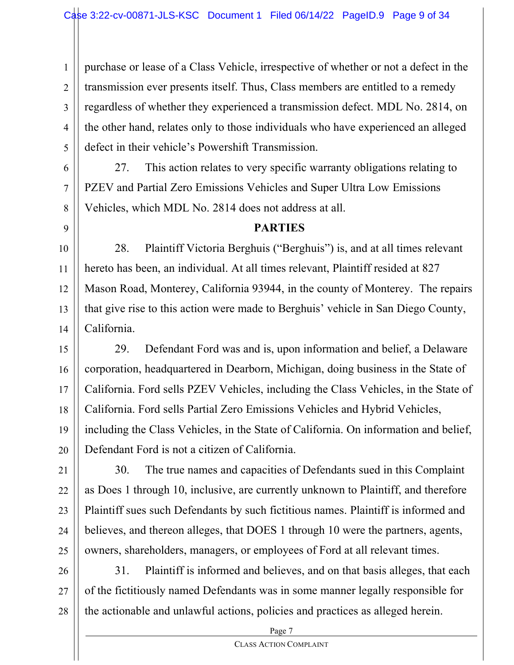1 2 3 4 5 purchase or lease of a Class Vehicle, irrespective of whether or not a defect in the transmission ever presents itself. Thus, Class members are entitled to a remedy regardless of whether they experienced a transmission defect. MDL No. 2814, on the other hand, relates only to those individuals who have experienced an alleged defect in their vehicle's Powershift Transmission.

27. This action relates to very specific warranty obligations relating to PZEV and Partial Zero Emissions Vehicles and Super Ultra Low Emissions Vehicles, which MDL No. 2814 does not address at all.

9

6

7

8

10

11

12

13

14 28. Plaintiff Victoria Berghuis ("Berghuis") is, and at all times relevant hereto has been, an individual. At all times relevant, Plaintiff resided at 827 Mason Road, Monterey, California 93944, in the county of Monterey. The repairs that give rise to this action were made to Berghuis' vehicle in San Diego County, California.

**PARTIES**

15 16 17 18 19 20 29. Defendant Ford was and is, upon information and belief, a Delaware corporation, headquartered in Dearborn, Michigan, doing business in the State of California. Ford sells PZEV Vehicles, including the Class Vehicles, in the State of California. Ford sells Partial Zero Emissions Vehicles and Hybrid Vehicles, including the Class Vehicles, in the State of California. On information and belief, Defendant Ford is not a citizen of California.

21 22 23 24 25 30. The true names and capacities of Defendants sued in this Complaint as Does 1 through 10, inclusive, are currently unknown to Plaintiff, and therefore Plaintiff sues such Defendants by such fictitious names. Plaintiff is informed and believes, and thereon alleges, that DOES 1 through 10 were the partners, agents, owners, shareholders, managers, or employees of Ford at all relevant times.

26 27 28 31. Plaintiff is informed and believes, and on that basis alleges, that each of the fictitiously named Defendants was in some manner legally responsible for the actionable and unlawful actions, policies and practices as alleged herein.

Page 7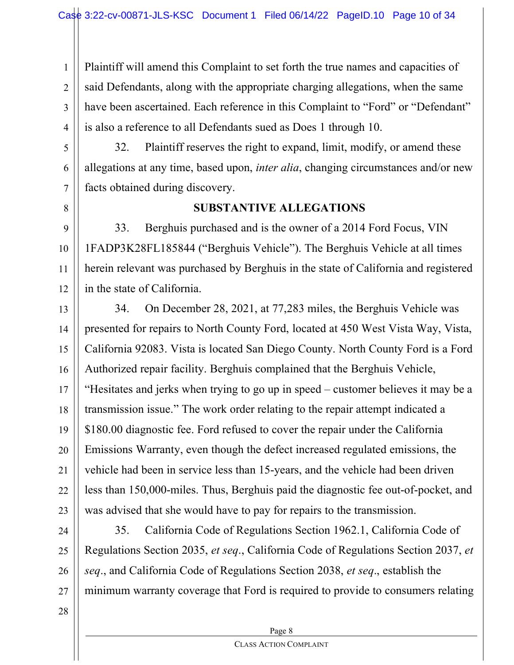1 2 3 4 Plaintiff will amend this Complaint to set forth the true names and capacities of said Defendants, along with the appropriate charging allegations, when the same have been ascertained. Each reference in this Complaint to "Ford" or "Defendant" is also a reference to all Defendants sued as Does 1 through 10.

5

6

32. Plaintiff reserves the right to expand, limit, modify, or amend these allegations at any time, based upon, *inter alia*, changing circumstances and/or new facts obtained during discovery.

8

9

10

11

12

7

#### **SUBSTANTIVE ALLEGATIONS**

33. Berghuis purchased and is the owner of a 2014 Ford Focus, VIN 1FADP3K28FL185844 ("Berghuis Vehicle"). The Berghuis Vehicle at all times herein relevant was purchased by Berghuis in the state of California and registered in the state of California.

13 14 15 16 17 18 19 20 21 22 23 34. On December 28, 2021, at 77,283 miles, the Berghuis Vehicle was presented for repairs to North County Ford, located at 450 West Vista Way, Vista, California 92083. Vista is located San Diego County. North County Ford is a Ford Authorized repair facility. Berghuis complained that the Berghuis Vehicle, "Hesitates and jerks when trying to go up in speed – customer believes it may be a transmission issue." The work order relating to the repair attempt indicated a \$180.00 diagnostic fee. Ford refused to cover the repair under the California Emissions Warranty, even though the defect increased regulated emissions, the vehicle had been in service less than 15-years, and the vehicle had been driven less than 150,000-miles. Thus, Berghuis paid the diagnostic fee out-of-pocket, and was advised that she would have to pay for repairs to the transmission.

24 25

26

27

35. California Code of Regulations Section 1962.1, California Code of Regulations Section 2035, *et seq*., California Code of Regulations Section 2037, *et seq*., and California Code of Regulations Section 2038, *et seq*., establish the minimum warranty coverage that Ford is required to provide to consumers relating

28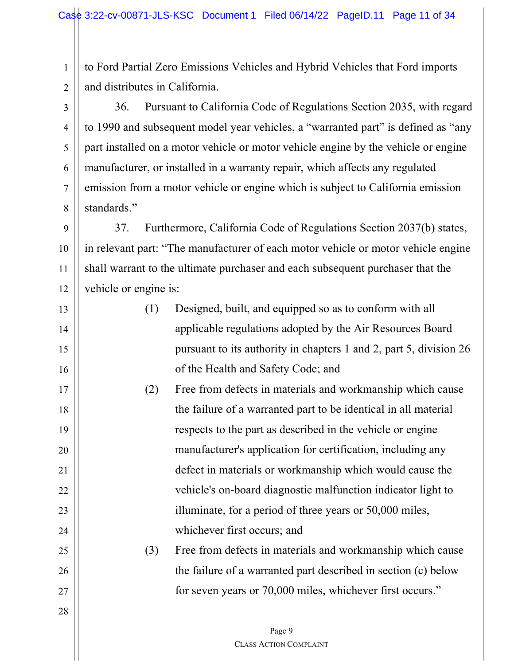1 2 to Ford Partial Zero Emissions Vehicles and Hybrid Vehicles that Ford imports and distributes in California.

3 4 5 6 7 8 36. Pursuant to California Code of Regulations Section 2035, with regard to 1990 and subsequent model year vehicles, a "warranted part" is defined as "any part installed on a motor vehicle or motor vehicle engine by the vehicle or engine manufacturer, or installed in a warranty repair, which affects any regulated emission from a motor vehicle or engine which is subject to California emission standards."

9 10 11 12 37. Furthermore, California Code of Regulations Section 2037(b) states, in relevant part: "The manufacturer of each motor vehicle or motor vehicle engine shall warrant to the ultimate purchaser and each subsequent purchaser that the vehicle or engine is:

13

14

15

16

17

18

19

20

21

22

23

24

25

26

27

28

- (1) Designed, built, and equipped so as to conform with all applicable regulations adopted by the Air Resources Board pursuant to its authority in chapters 1 and 2, part 5, division 26 of the Health and Safety Code; and
- (2) Free from defects in materials and workmanship which cause the failure of a warranted part to be identical in all material respects to the part as described in the vehicle or engine manufacturer's application for certification, including any defect in materials or workmanship which would cause the vehicle's on-board diagnostic malfunction indicator light to illuminate, for a period of three years or 50,000 miles, whichever first occurs; and

## (3) Free from defects in materials and workmanship which cause the failure of a warranted part described in section (c) below for seven years or 70,000 miles, whichever first occurs."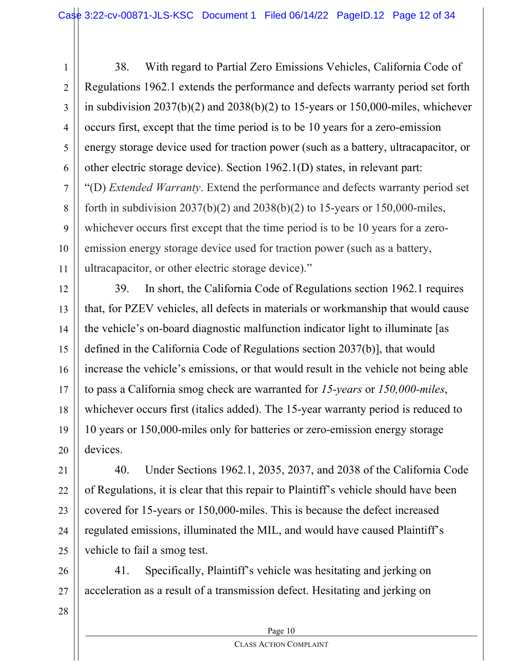1 2 3 4 5 6 7 8 9 10 11 38. With regard to Partial Zero Emissions Vehicles, California Code of Regulations 1962.1 extends the performance and defects warranty period set forth in subdivision  $2037(b)(2)$  and  $2038(b)(2)$  to 15-years or 150,000-miles, whichever occurs first, except that the time period is to be 10 years for a zero-emission energy storage device used for traction power (such as a battery, ultracapacitor, or other electric storage device). Section 1962.1(D) states, in relevant part: "(D) *Extended Warranty*. Extend the performance and defects warranty period set forth in subdivision  $2037(b)(2)$  and  $2038(b)(2)$  to 15-years or 150,000-miles, whichever occurs first except that the time period is to be 10 years for a zeroemission energy storage device used for traction power (such as a battery, ultracapacitor, or other electric storage device)."

12 13 14 15 16 17 18 19 20 39. In short, the California Code of Regulations section 1962.1 requires that, for PZEV vehicles, all defects in materials or workmanship that would cause the vehicle's on-board diagnostic malfunction indicator light to illuminate [as defined in the California Code of Regulations section 2037(b)], that would increase the vehicle's emissions, or that would result in the vehicle not being able to pass a California smog check are warranted for *15-years* or *150,000-miles*, whichever occurs first (italics added). The 15-year warranty period is reduced to 10 years or 150,000-miles only for batteries or zero-emission energy storage devices.

21 22 23 24 25 40. Under Sections 1962.1, 2035, 2037, and 2038 of the California Code of Regulations, it is clear that this repair to Plaintiff's vehicle should have been covered for 15-years or 150,000-miles. This is because the defect increased regulated emissions, illuminated the MIL, and would have caused Plaintiff's vehicle to fail a smog test.

26 27 41. Specifically, Plaintiff's vehicle was hesitating and jerking on acceleration as a result of a transmission defect. Hesitating and jerking on

28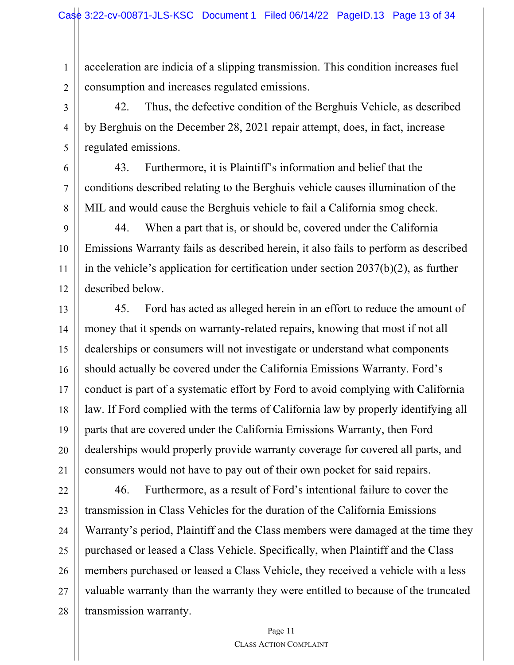1 2 acceleration are indicia of a slipping transmission. This condition increases fuel consumption and increases regulated emissions.

3 4 5 42. Thus, the defective condition of the Berghuis Vehicle, as described by Berghuis on the December 28, 2021 repair attempt, does, in fact, increase regulated emissions.

6 8 43. Furthermore, it is Plaintiff's information and belief that the conditions described relating to the Berghuis vehicle causes illumination of the MIL and would cause the Berghuis vehicle to fail a California smog check.

7

9 10 11 12 44. When a part that is, or should be, covered under the California Emissions Warranty fails as described herein, it also fails to perform as described in the vehicle's application for certification under section 2037(b)(2), as further described below.

13 14 15 16 17 18 19 20 21 45. Ford has acted as alleged herein in an effort to reduce the amount of money that it spends on warranty-related repairs, knowing that most if not all dealerships or consumers will not investigate or understand what components should actually be covered under the California Emissions Warranty. Ford's conduct is part of a systematic effort by Ford to avoid complying with California law. If Ford complied with the terms of California law by properly identifying all parts that are covered under the California Emissions Warranty, then Ford dealerships would properly provide warranty coverage for covered all parts, and consumers would not have to pay out of their own pocket for said repairs.

22 23 24 25 26 27 28 46. Furthermore, as a result of Ford's intentional failure to cover the transmission in Class Vehicles for the duration of the California Emissions Warranty's period, Plaintiff and the Class members were damaged at the time they purchased or leased a Class Vehicle. Specifically, when Plaintiff and the Class members purchased or leased a Class Vehicle, they received a vehicle with a less valuable warranty than the warranty they were entitled to because of the truncated transmission warranty.

Page 11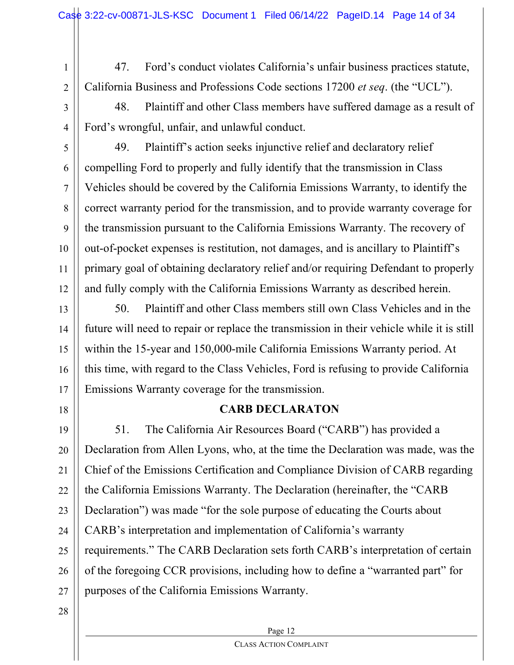1 2 47. Ford's conduct violates California's unfair business practices statute, California Business and Professions Code sections 17200 *et seq*. (the "UCL").

3

48. Plaintiff and other Class members have suffered damage as a result of Ford's wrongful, unfair, and unlawful conduct.

4 5

6 7 8 9 10 11 12 49. Plaintiff's action seeks injunctive relief and declaratory relief compelling Ford to properly and fully identify that the transmission in Class Vehicles should be covered by the California Emissions Warranty, to identify the correct warranty period for the transmission, and to provide warranty coverage for the transmission pursuant to the California Emissions Warranty. The recovery of out-of-pocket expenses is restitution, not damages, and is ancillary to Plaintiff's primary goal of obtaining declaratory relief and/or requiring Defendant to properly and fully comply with the California Emissions Warranty as described herein.

13 14 15 16 17 50. Plaintiff and other Class members still own Class Vehicles and in the future will need to repair or replace the transmission in their vehicle while it is still within the 15-year and 150,000-mile California Emissions Warranty period. At this time, with regard to the Class Vehicles, Ford is refusing to provide California Emissions Warranty coverage for the transmission.

18

## **CARB DECLARATON**

19 20 21 22 23 24 25 26 27 51. The California Air Resources Board ("CARB") has provided a Declaration from Allen Lyons, who, at the time the Declaration was made, was the Chief of the Emissions Certification and Compliance Division of CARB regarding the California Emissions Warranty. The Declaration (hereinafter, the "CARB Declaration") was made "for the sole purpose of educating the Courts about CARB's interpretation and implementation of California's warranty requirements." The CARB Declaration sets forth CARB's interpretation of certain of the foregoing CCR provisions, including how to define a "warranted part" for purposes of the California Emissions Warranty.

28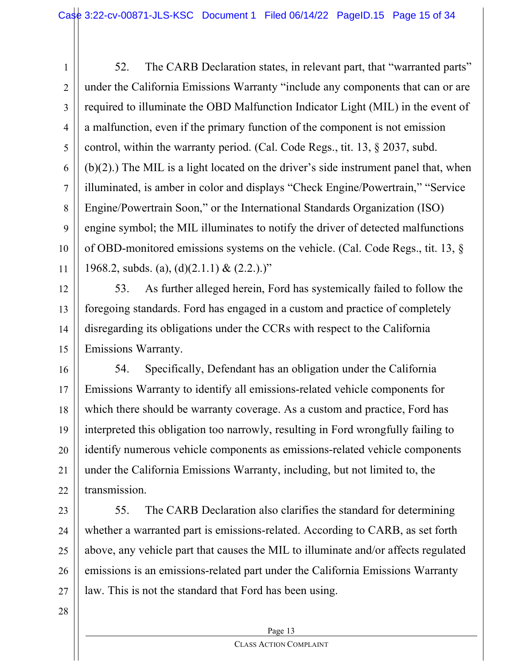1 2 3 4 5 6 7 8 9 10 11 52. The CARB Declaration states, in relevant part, that "warranted parts" under the California Emissions Warranty "include any components that can or are required to illuminate the OBD Malfunction Indicator Light (MIL) in the event of a malfunction, even if the primary function of the component is not emission control, within the warranty period. (Cal. Code Regs., tit. 13, § 2037, subd. (b)(2).) The MIL is a light located on the driver's side instrument panel that, when illuminated, is amber in color and displays "Check Engine/Powertrain," "Service Engine/Powertrain Soon," or the International Standards Organization (ISO) engine symbol; the MIL illuminates to notify the driver of detected malfunctions of OBD-monitored emissions systems on the vehicle. (Cal. Code Regs., tit. 13, § 1968.2, subds. (a), (d)(2.1.1) & (2.2.).)"

12 13 14 15 53. As further alleged herein, Ford has systemically failed to follow the foregoing standards. Ford has engaged in a custom and practice of completely disregarding its obligations under the CCRs with respect to the California Emissions Warranty.

16 17 18 19 20 21 22 54. Specifically, Defendant has an obligation under the California Emissions Warranty to identify all emissions-related vehicle components for which there should be warranty coverage. As a custom and practice, Ford has interpreted this obligation too narrowly, resulting in Ford wrongfully failing to identify numerous vehicle components as emissions-related vehicle components under the California Emissions Warranty, including, but not limited to, the transmission.

23 24 25 26 27 55. The CARB Declaration also clarifies the standard for determining whether a warranted part is emissions-related. According to CARB, as set forth above, any vehicle part that causes the MIL to illuminate and/or affects regulated emissions is an emissions-related part under the California Emissions Warranty law. This is not the standard that Ford has been using.

28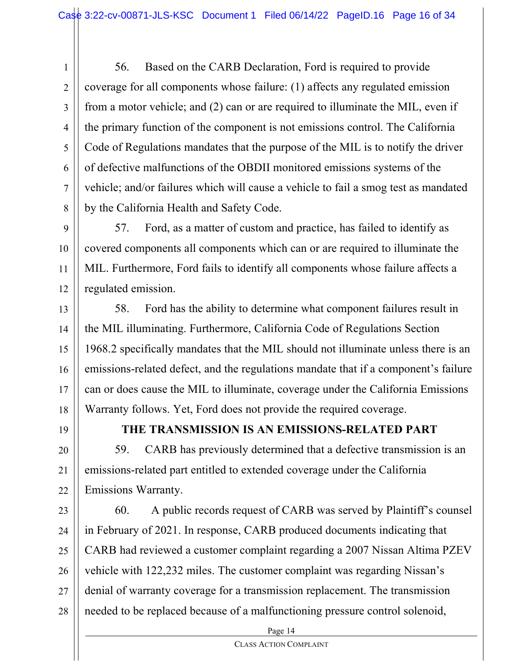1 2 3 4 5 6 7 8 56. Based on the CARB Declaration, Ford is required to provide coverage for all components whose failure: (1) affects any regulated emission from a motor vehicle; and (2) can or are required to illuminate the MIL, even if the primary function of the component is not emissions control. The California Code of Regulations mandates that the purpose of the MIL is to notify the driver of defective malfunctions of the OBDII monitored emissions systems of the vehicle; and/or failures which will cause a vehicle to fail a smog test as mandated by the California Health and Safety Code.

9 10 11 12 57. Ford, as a matter of custom and practice, has failed to identify as covered components all components which can or are required to illuminate the MIL. Furthermore, Ford fails to identify all components whose failure affects a regulated emission.

13 14 15 16 17 18 58. Ford has the ability to determine what component failures result in the MIL illuminating. Furthermore, California Code of Regulations Section 1968.2 specifically mandates that the MIL should not illuminate unless there is an emissions-related defect, and the regulations mandate that if a component's failure can or does cause the MIL to illuminate, coverage under the California Emissions Warranty follows. Yet, Ford does not provide the required coverage.

19

## **THE TRANSMISSION IS AN EMISSIONS-RELATED PART**

20 21 22 59. CARB has previously determined that a defective transmission is an emissions-related part entitled to extended coverage under the California Emissions Warranty.

23 24 25 26 27 28 60. A public records request of CARB was served by Plaintiff's counsel in February of 2021. In response, CARB produced documents indicating that CARB had reviewed a customer complaint regarding a 2007 Nissan Altima PZEV vehicle with 122,232 miles. The customer complaint was regarding Nissan's denial of warranty coverage for a transmission replacement. The transmission needed to be replaced because of a malfunctioning pressure control solenoid,

Page 14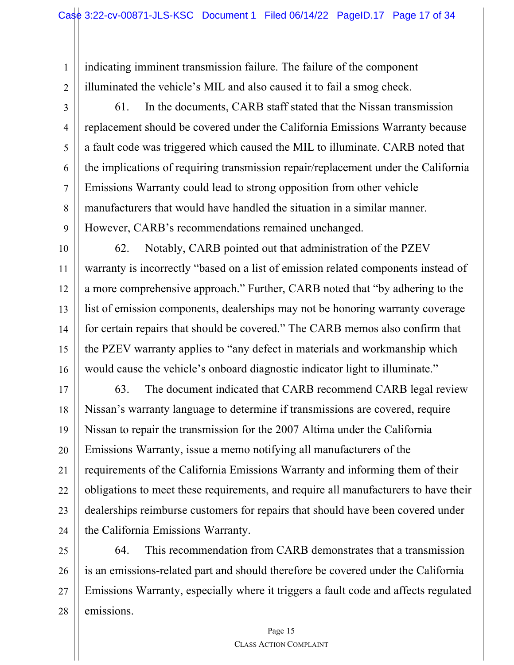indicating imminent transmission failure. The failure of the component illuminated the vehicle's MIL and also caused it to fail a smog check.

2 3

5

7

1

4 6 8 9 61. In the documents, CARB staff stated that the Nissan transmission replacement should be covered under the California Emissions Warranty because a fault code was triggered which caused the MIL to illuminate. CARB noted that the implications of requiring transmission repair/replacement under the California Emissions Warranty could lead to strong opposition from other vehicle manufacturers that would have handled the situation in a similar manner. However, CARB's recommendations remained unchanged.

10 11 12 13 14 15 16 62. Notably, CARB pointed out that administration of the PZEV warranty is incorrectly "based on a list of emission related components instead of a more comprehensive approach." Further, CARB noted that "by adhering to the list of emission components, dealerships may not be honoring warranty coverage for certain repairs that should be covered." The CARB memos also confirm that the PZEV warranty applies to "any defect in materials and workmanship which would cause the vehicle's onboard diagnostic indicator light to illuminate."

17 18 19 20 21 22 23 24 63. The document indicated that CARB recommend CARB legal review Nissan's warranty language to determine if transmissions are covered, require Nissan to repair the transmission for the 2007 Altima under the California Emissions Warranty, issue a memo notifying all manufacturers of the requirements of the California Emissions Warranty and informing them of their obligations to meet these requirements, and require all manufacturers to have their dealerships reimburse customers for repairs that should have been covered under the California Emissions Warranty.

25 26 27 28 64. This recommendation from CARB demonstrates that a transmission is an emissions-related part and should therefore be covered under the California Emissions Warranty, especially where it triggers a fault code and affects regulated emissions.

Page 15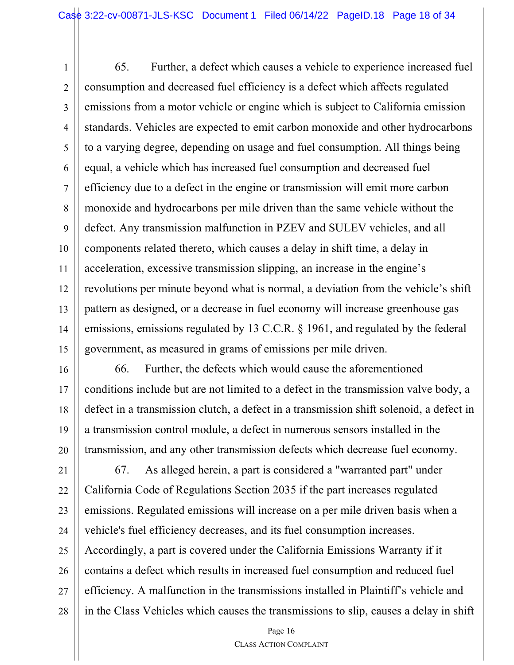1 2 3 4 5 6 7 8 9 10 11 12 13 14 15 65. Further, a defect which causes a vehicle to experience increased fuel consumption and decreased fuel efficiency is a defect which affects regulated emissions from a motor vehicle or engine which is subject to California emission standards. Vehicles are expected to emit carbon monoxide and other hydrocarbons to a varying degree, depending on usage and fuel consumption. All things being equal, a vehicle which has increased fuel consumption and decreased fuel efficiency due to a defect in the engine or transmission will emit more carbon monoxide and hydrocarbons per mile driven than the same vehicle without the defect. Any transmission malfunction in PZEV and SULEV vehicles, and all components related thereto, which causes a delay in shift time, a delay in acceleration, excessive transmission slipping, an increase in the engine's revolutions per minute beyond what is normal, a deviation from the vehicle's shift pattern as designed, or a decrease in fuel economy will increase greenhouse gas emissions, emissions regulated by 13 C.C.R. § 1961, and regulated by the federal government, as measured in grams of emissions per mile driven.

16 17 18 19 20 66. Further, the defects which would cause the aforementioned conditions include but are not limited to a defect in the transmission valve body, a defect in a transmission clutch, a defect in a transmission shift solenoid, a defect in a transmission control module, a defect in numerous sensors installed in the transmission, and any other transmission defects which decrease fuel economy.

21 22 23 24 25 26 27 28 67. As alleged herein, a part is considered a "warranted part" under California Code of Regulations Section 2035 if the part increases regulated emissions. Regulated emissions will increase on a per mile driven basis when a vehicle's fuel efficiency decreases, and its fuel consumption increases. Accordingly, a part is covered under the California Emissions Warranty if it contains a defect which results in increased fuel consumption and reduced fuel efficiency. A malfunction in the transmissions installed in Plaintiff's vehicle and in the Class Vehicles which causes the transmissions to slip, causes a delay in shift

Page 16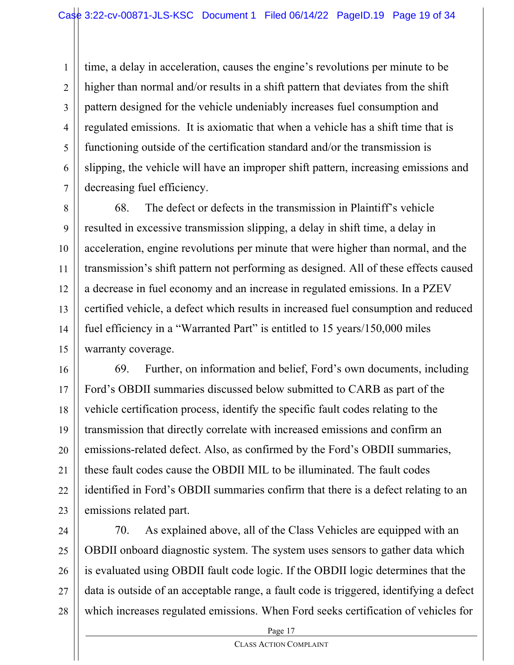1 2 3 4 5 6 7 time, a delay in acceleration, causes the engine's revolutions per minute to be higher than normal and/or results in a shift pattern that deviates from the shift pattern designed for the vehicle undeniably increases fuel consumption and regulated emissions. It is axiomatic that when a vehicle has a shift time that is functioning outside of the certification standard and/or the transmission is slipping, the vehicle will have an improper shift pattern, increasing emissions and decreasing fuel efficiency.

8 9 10 11 12 13 14 15 68. The defect or defects in the transmission in Plaintiff's vehicle resulted in excessive transmission slipping, a delay in shift time, a delay in acceleration, engine revolutions per minute that were higher than normal, and the transmission's shift pattern not performing as designed. All of these effects caused a decrease in fuel economy and an increase in regulated emissions. In a PZEV certified vehicle, a defect which results in increased fuel consumption and reduced fuel efficiency in a "Warranted Part" is entitled to 15 years/150,000 miles warranty coverage.

16 17 18 19 20 21 22 23 69. Further, on information and belief, Ford's own documents, including Ford's OBDII summaries discussed below submitted to CARB as part of the vehicle certification process, identify the specific fault codes relating to the transmission that directly correlate with increased emissions and confirm an emissions-related defect. Also, as confirmed by the Ford's OBDII summaries, these fault codes cause the OBDII MIL to be illuminated. The fault codes identified in Ford's OBDII summaries confirm that there is a defect relating to an emissions related part.

24 25 26 27 28 70. As explained above, all of the Class Vehicles are equipped with an OBDII onboard diagnostic system. The system uses sensors to gather data which is evaluated using OBDII fault code logic. If the OBDII logic determines that the data is outside of an acceptable range, a fault code is triggered, identifying a defect which increases regulated emissions. When Ford seeks certification of vehicles for

Page 17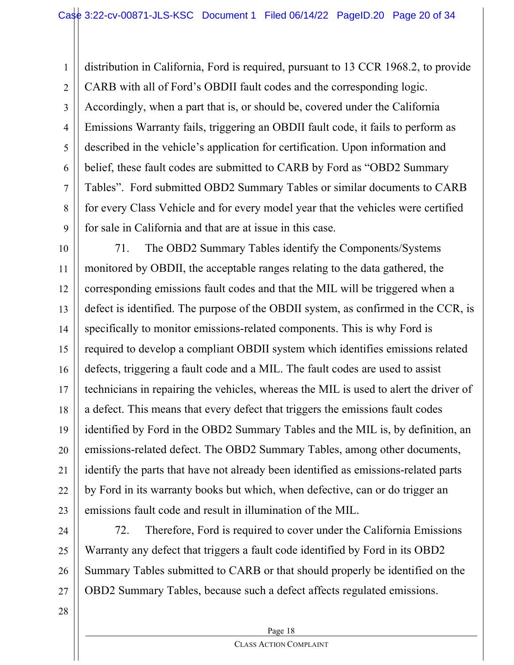1 2 3 4 5 6 7 8 9 distribution in California, Ford is required, pursuant to 13 CCR 1968.2, to provide CARB with all of Ford's OBDII fault codes and the corresponding logic. Accordingly, when a part that is, or should be, covered under the California Emissions Warranty fails, triggering an OBDII fault code, it fails to perform as described in the vehicle's application for certification. Upon information and belief, these fault codes are submitted to CARB by Ford as "OBD2 Summary Tables". Ford submitted OBD2 Summary Tables or similar documents to CARB for every Class Vehicle and for every model year that the vehicles were certified for sale in California and that are at issue in this case.

10 11 12 13 14 15 16 17 18 19 20 21 22 23 71. The OBD2 Summary Tables identify the Components/Systems monitored by OBDII, the acceptable ranges relating to the data gathered, the corresponding emissions fault codes and that the MIL will be triggered when a defect is identified. The purpose of the OBDII system, as confirmed in the CCR, is specifically to monitor emissions-related components. This is why Ford is required to develop a compliant OBDII system which identifies emissions related defects, triggering a fault code and a MIL. The fault codes are used to assist technicians in repairing the vehicles, whereas the MIL is used to alert the driver of a defect. This means that every defect that triggers the emissions fault codes identified by Ford in the OBD2 Summary Tables and the MIL is, by definition, an emissions-related defect. The OBD2 Summary Tables, among other documents, identify the parts that have not already been identified as emissions-related parts by Ford in its warranty books but which, when defective, can or do trigger an emissions fault code and result in illumination of the MIL.

24 25 26 27 72. Therefore, Ford is required to cover under the California Emissions Warranty any defect that triggers a fault code identified by Ford in its OBD2 Summary Tables submitted to CARB or that should properly be identified on the OBD2 Summary Tables, because such a defect affects regulated emissions.

28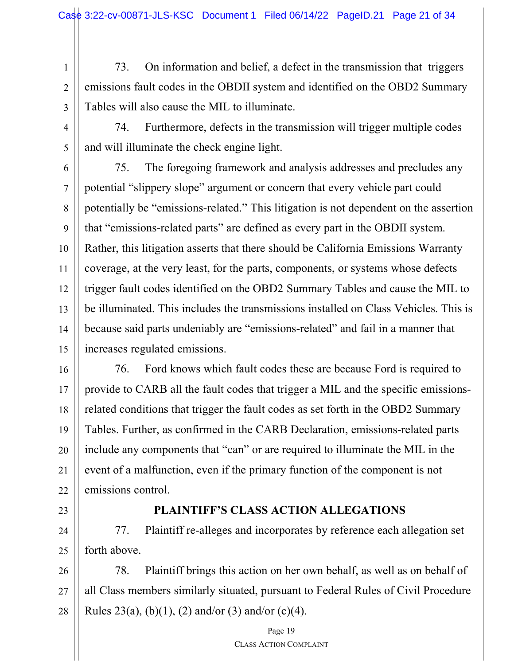1 2 3 73. On information and belief, a defect in the transmission that triggers emissions fault codes in the OBDII system and identified on the OBD2 Summary Tables will also cause the MIL to illuminate.

4

5

74. Furthermore, defects in the transmission will trigger multiple codes and will illuminate the check engine light.

6 7 8 9 10 11 12 13 14 15 75. The foregoing framework and analysis addresses and precludes any potential "slippery slope" argument or concern that every vehicle part could potentially be "emissions-related." This litigation is not dependent on the assertion that "emissions-related parts" are defined as every part in the OBDII system. Rather, this litigation asserts that there should be California Emissions Warranty coverage, at the very least, for the parts, components, or systems whose defects trigger fault codes identified on the OBD2 Summary Tables and cause the MIL to be illuminated. This includes the transmissions installed on Class Vehicles. This is because said parts undeniably are "emissions-related" and fail in a manner that increases regulated emissions.

16 17 18 19 20 21 22 76. Ford knows which fault codes these are because Ford is required to provide to CARB all the fault codes that trigger a MIL and the specific emissionsrelated conditions that trigger the fault codes as set forth in the OBD2 Summary Tables. Further, as confirmed in the CARB Declaration, emissions-related parts include any components that "can" or are required to illuminate the MIL in the event of a malfunction, even if the primary function of the component is not emissions control.

23

## **PLAINTIFF'S CLASS ACTION ALLEGATIONS**

24 25 77. Plaintiff re-alleges and incorporates by reference each allegation set forth above.

26 27 28 78. Plaintiff brings this action on her own behalf, as well as on behalf of all Class members similarly situated, pursuant to Federal Rules of Civil Procedure Rules 23(a), (b)(1), (2) and/or (3) and/or (c)(4).

Page 19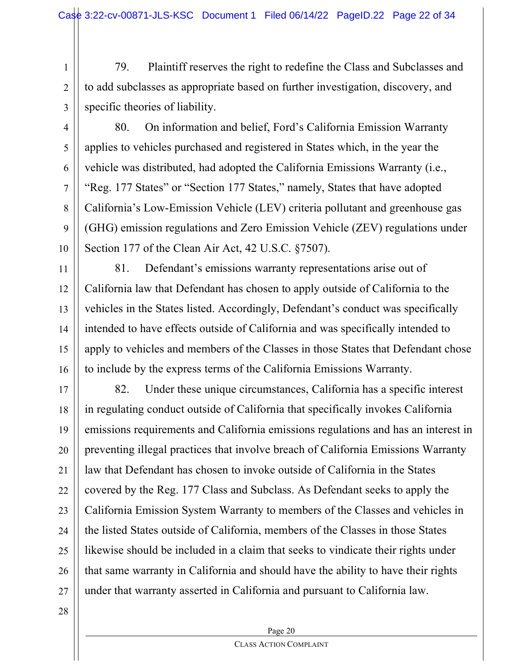1 2 3 79. Plaintiff reserves the right to redefine the Class and Subclasses and to add subclasses as appropriate based on further investigation, discovery, and specific theories of liability.

4

5

6

7

8

9

10

80. On information and belief, Ford's California Emission Warranty applies to vehicles purchased and registered in States which, in the year the vehicle was distributed, had adopted the California Emissions Warranty (i.e., "Reg. 177 States" or "Section 177 States," namely, States that have adopted California's Low-Emission Vehicle (LEV) criteria pollutant and greenhouse gas (GHG) emission regulations and Zero Emission Vehicle (ZEV) regulations under Section 177 of the Clean Air Act, 42 U.S.C. §7507).

11 12 13 14 15 16 81. Defendant's emissions warranty representations arise out of California law that Defendant has chosen to apply outside of California to the vehicles in the States listed. Accordingly, Defendant's conduct was specifically intended to have effects outside of California and was specifically intended to apply to vehicles and members of the Classes in those States that Defendant chose to include by the express terms of the California Emissions Warranty.

17 18 19 20 21 22 23 24 25 26 27 82. Under these unique circumstances, California has a specific interest in regulating conduct outside of California that specifically invokes California emissions requirements and California emissions regulations and has an interest in preventing illegal practices that involve breach of California Emissions Warranty law that Defendant has chosen to invoke outside of California in the States covered by the Reg. 177 Class and Subclass. As Defendant seeks to apply the California Emission System Warranty to members of the Classes and vehicles in the listed States outside of California, members of the Classes in those States likewise should be included in a claim that seeks to vindicate their rights under that same warranty in California and should have the ability to have their rights under that warranty asserted in California and pursuant to California law.

28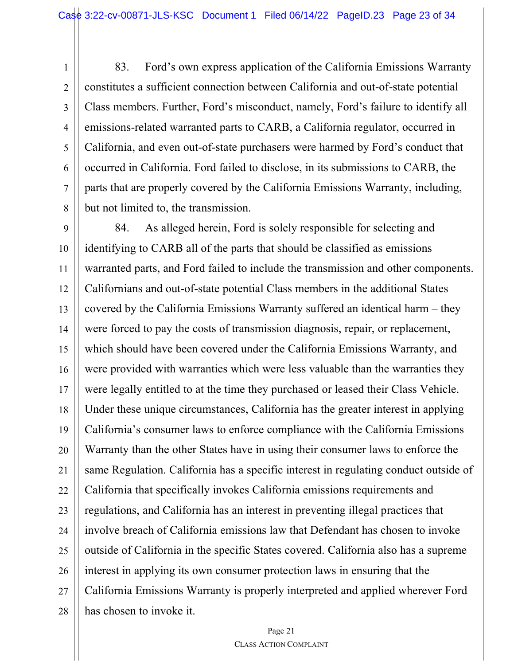1 2 3 4 5 6 7 8 83. Ford's own express application of the California Emissions Warranty constitutes a sufficient connection between California and out-of-state potential Class members. Further, Ford's misconduct, namely, Ford's failure to identify all emissions-related warranted parts to CARB, a California regulator, occurred in California, and even out-of-state purchasers were harmed by Ford's conduct that occurred in California. Ford failed to disclose, in its submissions to CARB, the parts that are properly covered by the California Emissions Warranty, including, but not limited to, the transmission.

9 10 11 12 13 14 15 16 17 18 19 20 21 22 23 24 25 26 27 28 84. As alleged herein, Ford is solely responsible for selecting and identifying to CARB all of the parts that should be classified as emissions warranted parts, and Ford failed to include the transmission and other components. Californians and out-of-state potential Class members in the additional States covered by the California Emissions Warranty suffered an identical harm – they were forced to pay the costs of transmission diagnosis, repair, or replacement, which should have been covered under the California Emissions Warranty, and were provided with warranties which were less valuable than the warranties they were legally entitled to at the time they purchased or leased their Class Vehicle. Under these unique circumstances, California has the greater interest in applying California's consumer laws to enforce compliance with the California Emissions Warranty than the other States have in using their consumer laws to enforce the same Regulation. California has a specific interest in regulating conduct outside of California that specifically invokes California emissions requirements and regulations, and California has an interest in preventing illegal practices that involve breach of California emissions law that Defendant has chosen to invoke outside of California in the specific States covered. California also has a supreme interest in applying its own consumer protection laws in ensuring that the California Emissions Warranty is properly interpreted and applied wherever Ford has chosen to invoke it.

Page 21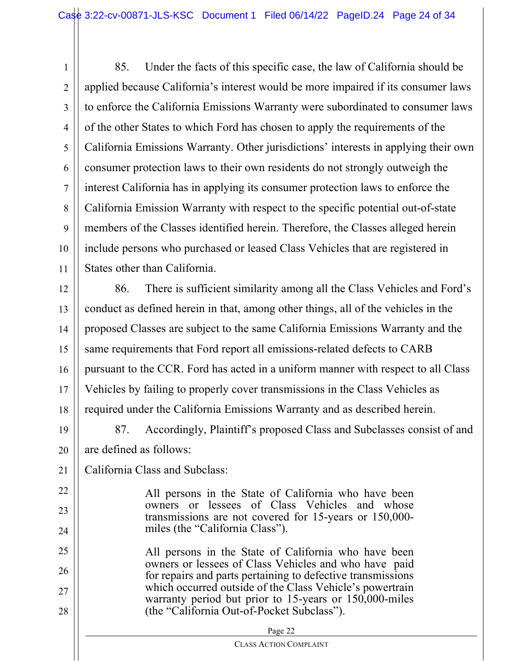1 2 3 4 5 6 7 8 9 10 11 85. Under the facts of this specific case, the law of California should be applied because California's interest would be more impaired if its consumer laws to enforce the California Emissions Warranty were subordinated to consumer laws of the other States to which Ford has chosen to apply the requirements of the California Emissions Warranty. Other jurisdictions' interests in applying their own consumer protection laws to their own residents do not strongly outweigh the interest California has in applying its consumer protection laws to enforce the California Emission Warranty with respect to the specific potential out-of-state members of the Classes identified herein. Therefore, the Classes alleged herein include persons who purchased or leased Class Vehicles that are registered in States other than California.

12 13 14 15 16 17 18 86. There is sufficient similarity among all the Class Vehicles and Ford's conduct as defined herein in that, among other things, all of the vehicles in the proposed Classes are subject to the same California Emissions Warranty and the same requirements that Ford report all emissions-related defects to CARB pursuant to the CCR. Ford has acted in a uniform manner with respect to all Class Vehicles by failing to properly cover transmissions in the Class Vehicles as required under the California Emissions Warranty and as described herein.

- 19 20 87. Accordingly, Plaintiff's proposed Class and Subclasses consist of and are defined as follows:
- 21 California Class and Subclass:

22

23

24

All persons in the State of California who have been owners or lessees of Class Vehicles and whose transmissions are not covered for 15-years or 150,000 miles (the "California Class").

25 26 27 28 All persons in the State of California who have been owners or lessees of Class Vehicles and who have paid for repairs and parts pertaining to defective transmissions which occurred outside of the Class Vehicle's powertrain warranty period but prior to 15-years or 150,000-miles (the "California Out-of-Pocket Subclass").

| Page 22                |  |
|------------------------|--|
| CLASS ACTION COMPLAINT |  |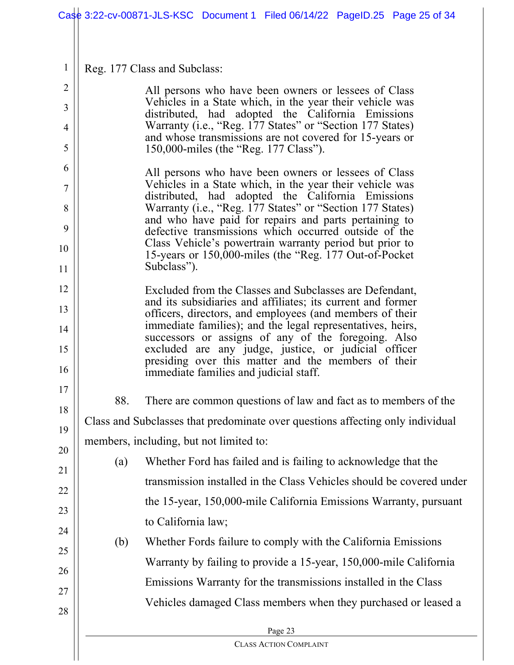|                     |     | Case 3:22-cv-00871-JLS-KSC Document 1 Filed 06/14/22 PageID.25 Page 25 of 34                                           |
|---------------------|-----|------------------------------------------------------------------------------------------------------------------------|
|                     |     |                                                                                                                        |
| $\mathbf{1}$        |     | Reg. 177 Class and Subclass:                                                                                           |
| $\overline{2}$<br>3 |     | All persons who have been owners or lessees of Class<br>Vehicles in a State which, in the year their vehicle was       |
| 4                   |     | distributed, had adopted the California Emissions<br>Warranty (i.e., "Reg. 177 States" or "Section 177 States)         |
| 5                   |     | and whose transmissions are not covered for 15-years or<br>150,000-miles (the "Reg. 177 Class").                       |
| 6                   |     | All persons who have been owners or lessees of Class                                                                   |
| 7                   |     | Vehicles in a State which, in the year their vehicle was<br>distributed, had adopted the California Emissions          |
| 8                   |     | Warranty (i.e., "Reg. 177 States" or "Section 177 States)<br>and who have paid for repairs and parts pertaining to     |
| 9                   |     | defective transmissions which occurred outside of the                                                                  |
| 10                  |     | Class Vehicle's powertrain warranty period but prior to<br>15-years or 150,000-miles (the "Reg. 177 Out-of-Pocket"     |
| 11                  |     | Subclass").                                                                                                            |
| 12                  |     | Excluded from the Classes and Subclasses are Defendant,<br>and its subsidiaries and affiliates; its current and former |
| 13                  |     | officers, directors, and employees (and members of their<br>immediate families); and the legal representatives, heirs, |
| 14<br>15            |     | successors or assigns of any of the foregoing. Also<br>excluded are any judge, justice, or judicial officer            |
| 16                  |     | presiding over this matter and the members of their<br>immediate families and judicial staff.                          |
| 17<br>18            | 88. | There are common questions of law and fact as to members of the                                                        |
| 19                  |     | Class and Subclasses that predominate over questions affecting only individual                                         |
| 20                  |     | members, including, but not limited to:                                                                                |
| 21                  | (a) | Whether Ford has failed and is failing to acknowledge that the                                                         |
| 22                  |     | transmission installed in the Class Vehicles should be covered under                                                   |
| 23                  |     | the 15-year, 150,000-mile California Emissions Warranty, pursuant                                                      |
| 24                  |     | to California law;                                                                                                     |
| 25                  | (b) | Whether Fords failure to comply with the California Emissions                                                          |
| 26                  |     | Warranty by failing to provide a 15-year, 150,000-mile California                                                      |
| 27                  |     | Emissions Warranty for the transmissions installed in the Class                                                        |
| 28                  |     | Vehicles damaged Class members when they purchased or leased a                                                         |
|                     |     | Page 23                                                                                                                |
|                     |     | <b>CLASS ACTION COMPLAINT</b>                                                                                          |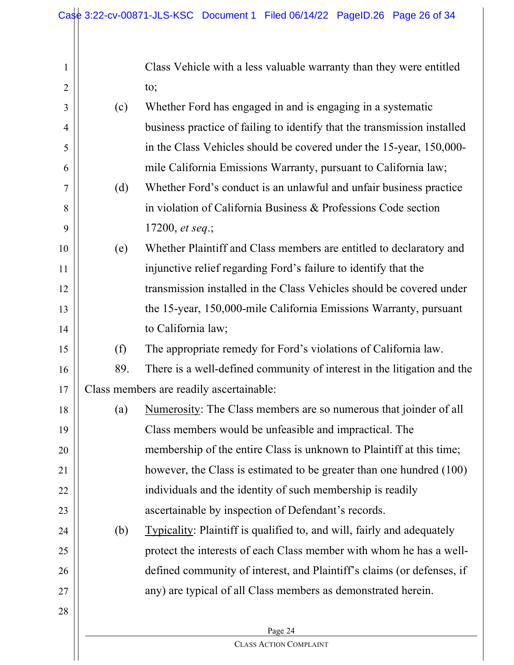| $\mathbf{1}$   |     | Class Vehicle with a less valuable warranty than they were entitled           |
|----------------|-----|-------------------------------------------------------------------------------|
| $\overline{2}$ |     | to;                                                                           |
| 3              | (c) | Whether Ford has engaged in and is engaging in a systematic                   |
| $\overline{4}$ |     | business practice of failing to identify that the transmission installed      |
| 5              |     | in the Class Vehicles should be covered under the 15-year, 150,000-           |
| 6              |     | mile California Emissions Warranty, pursuant to California law;               |
| 7              | (d) | Whether Ford's conduct is an unlawful and unfair business practice            |
| 8              |     | in violation of California Business & Professions Code section                |
| 9              |     | 17200, et seq.;                                                               |
| 10             | (e) | Whether Plaintiff and Class members are entitled to declaratory and           |
| 11             |     | injunctive relief regarding Ford's failure to identify that the               |
| 12             |     | transmission installed in the Class Vehicles should be covered under          |
| 13             |     | the 15-year, 150,000-mile California Emissions Warranty, pursuant             |
| 14             |     | to California law;                                                            |
| 15             | (f) | The appropriate remedy for Ford's violations of California law.               |
| 16             | 89. | There is a well-defined community of interest in the litigation and the       |
| 17             |     | Class members are readily ascertainable:                                      |
| 18             | (a) | Numerosity: The Class members are so numerous that joinder of all             |
| 19             |     | Class members would be unfeasible and impractical. The                        |
| 20             |     | membership of the entire Class is unknown to Plaintiff at this time;          |
| 21             |     | however, the Class is estimated to be greater than one hundred (100)          |
| 22             |     | individuals and the identity of such membership is readily                    |
| 23             |     | ascertainable by inspection of Defendant's records.                           |
| 24             | (b) | <b>Typicality:</b> Plaintiff is qualified to, and will, fairly and adequately |
| 25             |     | protect the interests of each Class member with whom he has a well-           |
| 26             |     | defined community of interest, and Plaintiff's claims (or defenses, if        |
| 27             |     | any) are typical of all Class members as demonstrated herein.                 |
| 28             |     |                                                                               |
|                |     | Page 24                                                                       |
|                |     | <b>CLASS ACTION COMPLAINT</b>                                                 |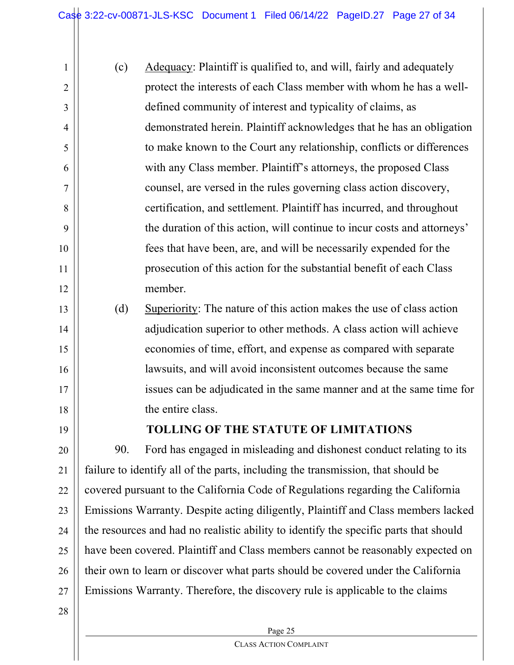(c) Adequacy: Plaintiff is qualified to, and will, fairly and adequately protect the interests of each Class member with whom he has a welldefined community of interest and typicality of claims, as demonstrated herein. Plaintiff acknowledges that he has an obligation to make known to the Court any relationship, conflicts or differences with any Class member. Plaintiff's attorneys, the proposed Class counsel, are versed in the rules governing class action discovery, certification, and settlement. Plaintiff has incurred, and throughout the duration of this action, will continue to incur costs and attorneys' fees that have been, are, and will be necessarily expended for the prosecution of this action for the substantial benefit of each Class member. (d) Superiority: The nature of this action makes the use of class action adjudication superior to other methods. A class action will achieve

economies of time, effort, and expense as compared with separate lawsuits, and will avoid inconsistent outcomes because the same issues can be adjudicated in the same manner and at the same time for the entire class.

18 19

1

2

3

4

5

6

7

8

9

10

11

12

13

14

15

16

17

## **TOLLING OF THE STATUTE OF LIMITATIONS**

20 21 22 23 24 25 26 27 90. Ford has engaged in misleading and dishonest conduct relating to its failure to identify all of the parts, including the transmission, that should be covered pursuant to the California Code of Regulations regarding the California Emissions Warranty. Despite acting diligently, Plaintiff and Class members lacked the resources and had no realistic ability to identify the specific parts that should have been covered. Plaintiff and Class members cannot be reasonably expected on their own to learn or discover what parts should be covered under the California Emissions Warranty. Therefore, the discovery rule is applicable to the claims

28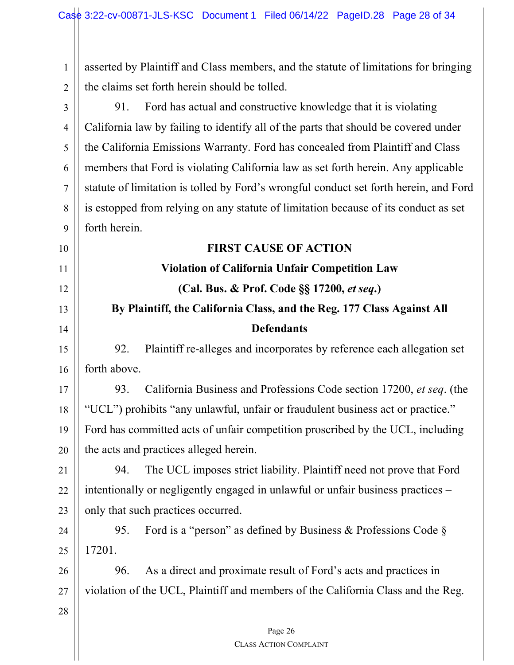1 2 asserted by Plaintiff and Class members, and the statute of limitations for bringing the claims set forth herein should be tolled.

3 4 5 6 7 8 9 10 11 12 13 14 15 16 17 18 19 91. Ford has actual and constructive knowledge that it is violating California law by failing to identify all of the parts that should be covered under the California Emissions Warranty. Ford has concealed from Plaintiff and Class members that Ford is violating California law as set forth herein. Any applicable statute of limitation is tolled by Ford's wrongful conduct set forth herein, and Ford is estopped from relying on any statute of limitation because of its conduct as set forth herein. **FIRST CAUSE OF ACTION Violation of California Unfair Competition Law (Cal. Bus. & Prof. Code §§ 17200,** *et seq***.) By Plaintiff, the California Class, and the Reg. 177 Class Against All Defendants** 92. Plaintiff re-alleges and incorporates by reference each allegation set forth above. 93. California Business and Professions Code section 17200, *et seq*. (the "UCL") prohibits "any unlawful, unfair or fraudulent business act or practice." Ford has committed acts of unfair competition proscribed by the UCL, including

20 21 the acts and practices alleged herein. 94. The UCL imposes strict liability. Plaintiff need not prove that Ford

22 23 intentionally or negligently engaged in unlawful or unfair business practices – only that such practices occurred.

24 25 95. Ford is a "person" as defined by Business & Professions Code § 17201.

26 27 96. As a direct and proximate result of Ford's acts and practices in violation of the UCL, Plaintiff and members of the California Class and the Reg.

28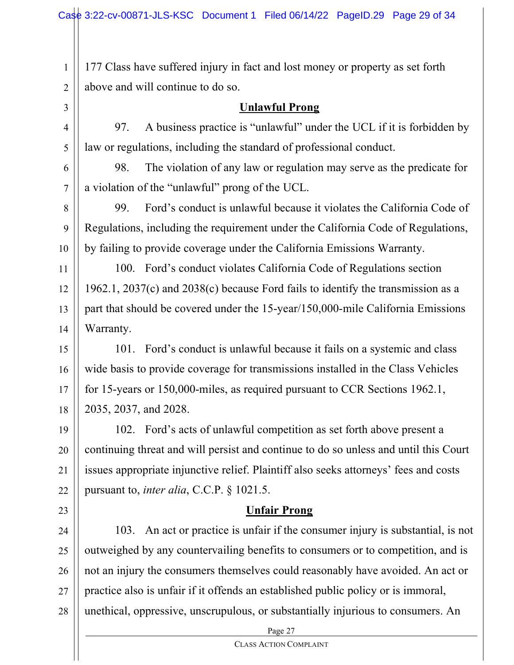177 Class have suffered injury in fact and lost money or property as set forth above and will continue to do so.

## 3 4

5

23

1

2

## **Unlawful Prong**

97. A business practice is "unlawful" under the UCL if it is forbidden by law or regulations, including the standard of professional conduct.

6 7 98. The violation of any law or regulation may serve as the predicate for a violation of the "unlawful" prong of the UCL.

8 9 10 99. Ford's conduct is unlawful because it violates the California Code of Regulations, including the requirement under the California Code of Regulations, by failing to provide coverage under the California Emissions Warranty.

11 12 13 14 100. Ford's conduct violates California Code of Regulations section 1962.1, 2037(c) and 2038(c) because Ford fails to identify the transmission as a part that should be covered under the 15-year/150,000-mile California Emissions Warranty.

15 16 17 18 101. Ford's conduct is unlawful because it fails on a systemic and class wide basis to provide coverage for transmissions installed in the Class Vehicles for 15-years or 150,000-miles, as required pursuant to CCR Sections 1962.1, 2035, 2037, and 2028.

19 20 21 22 102. Ford's acts of unlawful competition as set forth above present a continuing threat and will persist and continue to do so unless and until this Court issues appropriate injunctive relief. Plaintiff also seeks attorneys' fees and costs pursuant to, *inter alia*, C.C.P. § 1021.5.

## **Unfair Prong**

24 25 26 27 28 103. An act or practice is unfair if the consumer injury is substantial, is not outweighed by any countervailing benefits to consumers or to competition, and is not an injury the consumers themselves could reasonably have avoided. An act or practice also is unfair if it offends an established public policy or is immoral, unethical, oppressive, unscrupulous, or substantially injurious to consumers. An

Page 27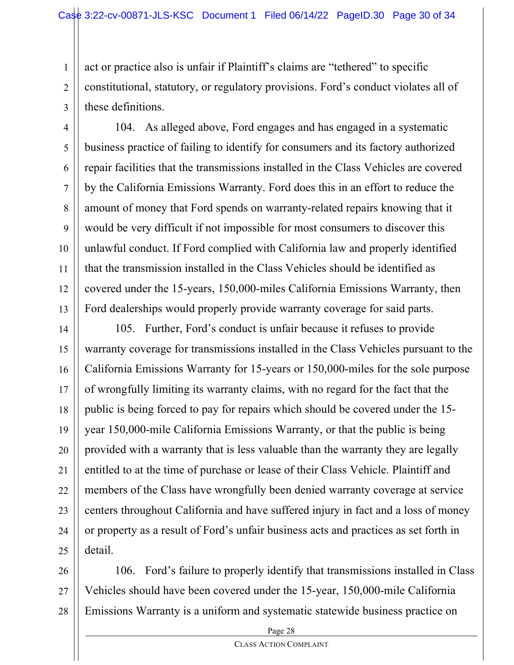1

2 3 act or practice also is unfair if Plaintiff's claims are "tethered" to specific constitutional, statutory, or regulatory provisions. Ford's conduct violates all of these definitions.

4 5 6 7 8 9 10 11 12 13 104. As alleged above, Ford engages and has engaged in a systematic business practice of failing to identify for consumers and its factory authorized repair facilities that the transmissions installed in the Class Vehicles are covered by the California Emissions Warranty. Ford does this in an effort to reduce the amount of money that Ford spends on warranty-related repairs knowing that it would be very difficult if not impossible for most consumers to discover this unlawful conduct. If Ford complied with California law and properly identified that the transmission installed in the Class Vehicles should be identified as covered under the 15-years, 150,000-miles California Emissions Warranty, then Ford dealerships would properly provide warranty coverage for said parts.

14 15 16 17 18 19 20 21 22 23 24 25 105. Further, Ford's conduct is unfair because it refuses to provide warranty coverage for transmissions installed in the Class Vehicles pursuant to the California Emissions Warranty for 15-years or 150,000-miles for the sole purpose of wrongfully limiting its warranty claims, with no regard for the fact that the public is being forced to pay for repairs which should be covered under the 15 year 150,000-mile California Emissions Warranty, or that the public is being provided with a warranty that is less valuable than the warranty they are legally entitled to at the time of purchase or lease of their Class Vehicle. Plaintiff and members of the Class have wrongfully been denied warranty coverage at service centers throughout California and have suffered injury in fact and a loss of money or property as a result of Ford's unfair business acts and practices as set forth in detail.

26 27 28 106. Ford's failure to properly identify that transmissions installed in Class Vehicles should have been covered under the 15-year, 150,000-mile California Emissions Warranty is a uniform and systematic statewide business practice on

Page 28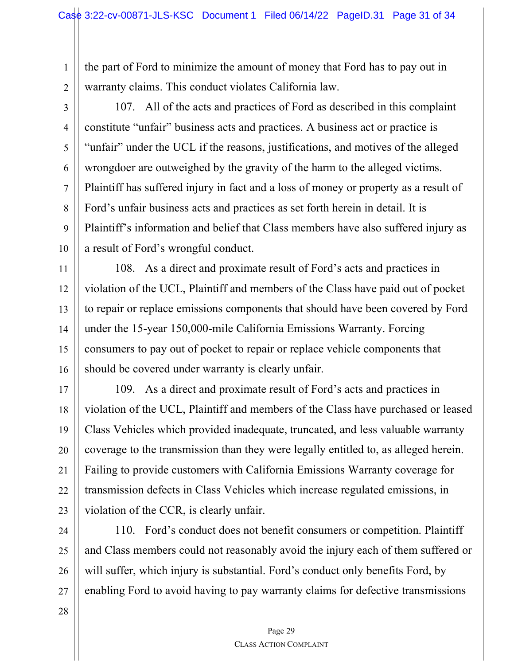the part of Ford to minimize the amount of money that Ford has to pay out in warranty claims. This conduct violates California law.

2 3

4

5

6

7

8

9

10

1

107. All of the acts and practices of Ford as described in this complaint constitute "unfair" business acts and practices. A business act or practice is "unfair" under the UCL if the reasons, justifications, and motives of the alleged wrongdoer are outweighed by the gravity of the harm to the alleged victims. Plaintiff has suffered injury in fact and a loss of money or property as a result of Ford's unfair business acts and practices as set forth herein in detail. It is Plaintiff's information and belief that Class members have also suffered injury as a result of Ford's wrongful conduct.

11 12 13 14 15 16 108. As a direct and proximate result of Ford's acts and practices in violation of the UCL, Plaintiff and members of the Class have paid out of pocket to repair or replace emissions components that should have been covered by Ford under the 15-year 150,000-mile California Emissions Warranty. Forcing consumers to pay out of pocket to repair or replace vehicle components that should be covered under warranty is clearly unfair.

17 18 19 20 21 22 23 109. As a direct and proximate result of Ford's acts and practices in violation of the UCL, Plaintiff and members of the Class have purchased or leased Class Vehicles which provided inadequate, truncated, and less valuable warranty coverage to the transmission than they were legally entitled to, as alleged herein. Failing to provide customers with California Emissions Warranty coverage for transmission defects in Class Vehicles which increase regulated emissions, in violation of the CCR, is clearly unfair.

24 25 26 27 110. Ford's conduct does not benefit consumers or competition. Plaintiff and Class members could not reasonably avoid the injury each of them suffered or will suffer, which injury is substantial. Ford's conduct only benefits Ford, by enabling Ford to avoid having to pay warranty claims for defective transmissions

28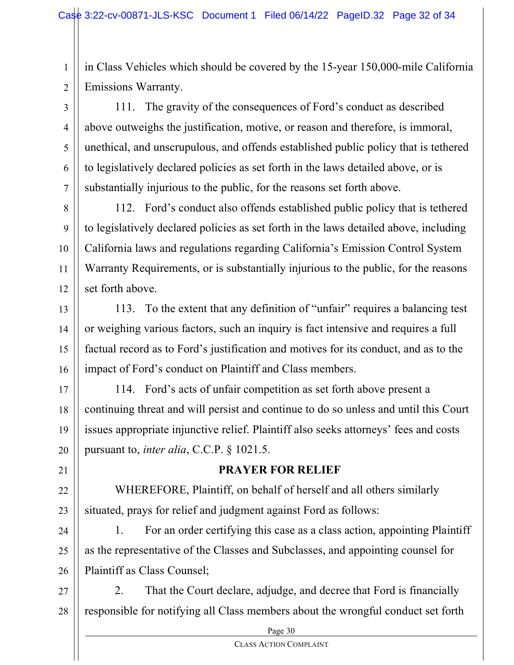1 2 in Class Vehicles which should be covered by the 15-year 150,000-mile California Emissions Warranty.

3 4 5 6 7 111. The gravity of the consequences of Ford's conduct as described above outweighs the justification, motive, or reason and therefore, is immoral, unethical, and unscrupulous, and offends established public policy that is tethered to legislatively declared policies as set forth in the laws detailed above, or is substantially injurious to the public, for the reasons set forth above.

8 9 10 11 12 112. Ford's conduct also offends established public policy that is tethered to legislatively declared policies as set forth in the laws detailed above, including California laws and regulations regarding California's Emission Control System Warranty Requirements, or is substantially injurious to the public, for the reasons set forth above.

13 14 15 16 113. To the extent that any definition of "unfair" requires a balancing test or weighing various factors, such an inquiry is fact intensive and requires a full factual record as to Ford's justification and motives for its conduct, and as to the impact of Ford's conduct on Plaintiff and Class members.

17 18 19 20 114. Ford's acts of unfair competition as set forth above present a continuing threat and will persist and continue to do so unless and until this Court issues appropriate injunctive relief. Plaintiff also seeks attorneys' fees and costs pursuant to, *inter alia*, C.C.P. § 1021.5.

## **PRAYER FOR RELIEF**

22 23 WHEREFORE, Plaintiff, on behalf of herself and all others similarly situated, prays for relief and judgment against Ford as follows:

21

24 25 26 1. For an order certifying this case as a class action, appointing Plaintiff as the representative of the Classes and Subclasses, and appointing counsel for Plaintiff as Class Counsel;

27 28 2. That the Court declare, adjudge, and decree that Ford is financially responsible for notifying all Class members about the wrongful conduct set forth

Page 30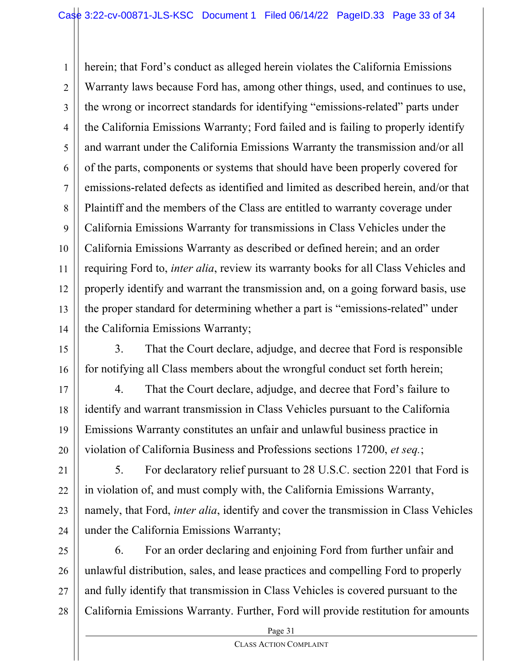1 2 3 4 5 6 7 8 9 10 11 12 13 14 herein; that Ford's conduct as alleged herein violates the California Emissions Warranty laws because Ford has, among other things, used, and continues to use, the wrong or incorrect standards for identifying "emissions-related" parts under the California Emissions Warranty; Ford failed and is failing to properly identify and warrant under the California Emissions Warranty the transmission and/or all of the parts, components or systems that should have been properly covered for emissions-related defects as identified and limited as described herein, and/or that Plaintiff and the members of the Class are entitled to warranty coverage under California Emissions Warranty for transmissions in Class Vehicles under the California Emissions Warranty as described or defined herein; and an order requiring Ford to, *inter alia*, review its warranty books for all Class Vehicles and properly identify and warrant the transmission and, on a going forward basis, use the proper standard for determining whether a part is "emissions-related" under the California Emissions Warranty;

15 16 3. That the Court declare, adjudge, and decree that Ford is responsible for notifying all Class members about the wrongful conduct set forth herein;

17 18 19 20 4. That the Court declare, adjudge, and decree that Ford's failure to identify and warrant transmission in Class Vehicles pursuant to the California Emissions Warranty constitutes an unfair and unlawful business practice in violation of California Business and Professions sections 17200, *et seq.*;

21 22 23 24 5. For declaratory relief pursuant to 28 U.S.C. section 2201 that Ford is in violation of, and must comply with, the California Emissions Warranty, namely, that Ford, *inter alia*, identify and cover the transmission in Class Vehicles under the California Emissions Warranty;

25 26 27 28 6. For an order declaring and enjoining Ford from further unfair and unlawful distribution, sales, and lease practices and compelling Ford to properly and fully identify that transmission in Class Vehicles is covered pursuant to the California Emissions Warranty. Further, Ford will provide restitution for amounts

Page 31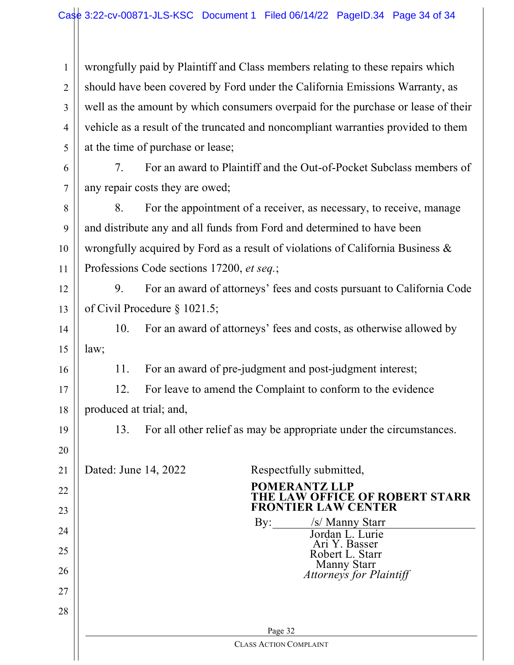| $\mathbf{1}$   | wrongfully paid by Plaintiff and Class members relating to these repairs which    |  |  |
|----------------|-----------------------------------------------------------------------------------|--|--|
| $\overline{2}$ | should have been covered by Ford under the California Emissions Warranty, as      |  |  |
| 3              | well as the amount by which consumers overpaid for the purchase or lease of their |  |  |
| $\overline{4}$ | vehicle as a result of the truncated and noncompliant warranties provided to them |  |  |
| 5              | at the time of purchase or lease;                                                 |  |  |
| 6              | For an award to Plaintiff and the Out-of-Pocket Subclass members of<br>7.         |  |  |
| $\overline{7}$ | any repair costs they are owed;                                                   |  |  |
| 8              | For the appointment of a receiver, as necessary, to receive, manage<br>8.         |  |  |
| 9              | and distribute any and all funds from Ford and determined to have been            |  |  |
| 10             | wrongfully acquired by Ford as a result of violations of California Business &    |  |  |
| 11             | Professions Code sections 17200, et seq.;                                         |  |  |
| 12             | 9.<br>For an award of attorneys' fees and costs pursuant to California Code       |  |  |
| 13             | of Civil Procedure $\S$ 1021.5;                                                   |  |  |
| 14             | 10.<br>For an award of attorneys' fees and costs, as otherwise allowed by         |  |  |
| 15             | law;                                                                              |  |  |
| 16             | For an award of pre-judgment and post-judgment interest;<br>11.                   |  |  |
| 17             | For leave to amend the Complaint to conform to the evidence<br>12.                |  |  |
| 18             | produced at trial; and,                                                           |  |  |
| 19             | For all other relief as may be appropriate under the circumstances.<br>13.        |  |  |
| 20             |                                                                                   |  |  |
| 21             | Dated: June 14, 2022<br>Respectfully submitted,                                   |  |  |
| 22             | <b>POMERANTZ LLP</b>                                                              |  |  |
| 23             | THE LAW OFFICE OF ROBERT STARR<br>FRONTIER LAW CENTER                             |  |  |
| 24             | By: /s/ Manny Starr<br>Jordan L. Lurie                                            |  |  |
| 25             | Ari Y. Basser<br>Robert L. Starr                                                  |  |  |
| 26             | Manny Starr<br>Attorneys for Plaintiff                                            |  |  |
| 27             |                                                                                   |  |  |
| 28             |                                                                                   |  |  |
|                |                                                                                   |  |  |